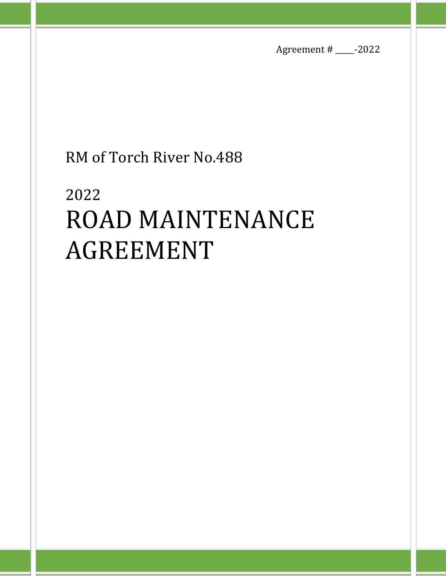Agreement # \_\_\_\_\_-2022

# RM of Torch River No.488

# 2022 ROAD MAINTENANCE AGREEMENT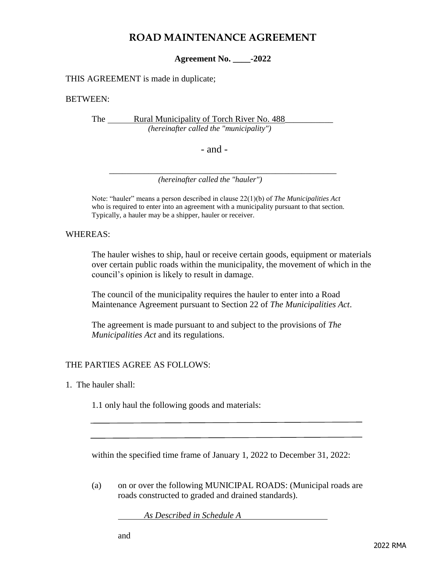## **ROAD MAINTENANCE AGREEMENT**

**Agreement No. \_\_\_\_-2022**

THIS AGREEMENT is made in duplicate;

#### BETWEEN:

The Rural Municipality of Torch River No. 488  *(hereinafter called the "municipality")*

- and -

 $\overline{\phantom{a}}$  ,  $\overline{\phantom{a}}$  ,  $\overline{\phantom{a}}$  ,  $\overline{\phantom{a}}$  ,  $\overline{\phantom{a}}$  ,  $\overline{\phantom{a}}$  ,  $\overline{\phantom{a}}$  ,  $\overline{\phantom{a}}$  ,  $\overline{\phantom{a}}$  ,  $\overline{\phantom{a}}$  ,  $\overline{\phantom{a}}$  ,  $\overline{\phantom{a}}$  ,  $\overline{\phantom{a}}$  ,  $\overline{\phantom{a}}$  ,  $\overline{\phantom{a}}$  ,  $\overline{\phantom{a}}$  *(hereinafter called the "hauler")*

Note: "hauler" means a person described in clause 22(1)(b) of *The Municipalities Act* who is required to enter into an agreement with a municipality pursuant to that section. Typically, a hauler may be a shipper, hauler or receiver.

WHEREAS:

The hauler wishes to ship, haul or receive certain goods, equipment or materials over certain public roads within the municipality, the movement of which in the council's opinion is likely to result in damage.

The council of the municipality requires the hauler to enter into a Road Maintenance Agreement pursuant to Section 22 of *The Municipalities Act*.

The agreement is made pursuant to and subject to the provisions of *The Municipalities Act* and its regulations.

### THE PARTIES AGREE AS FOLLOWS:

1. The hauler shall:

1.1 only haul the following goods and materials:

within the specified time frame of January 1, 2022 to December 31, 2022:

(a) on or over the following MUNICIPAL ROADS: (Municipal roads are roads constructed to graded and drained standards).

*As Described in Schedule A*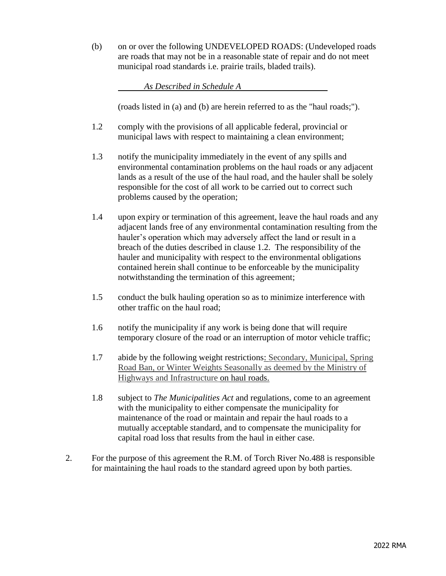(b) on or over the following UNDEVELOPED ROADS: (Undeveloped roads are roads that may not be in a reasonable state of repair and do not meet municipal road standards i.e. prairie trails, bladed trails).

*As Described in Schedule A* 

(roads listed in (a) and (b) are herein referred to as the "haul roads;").

- 1.2 comply with the provisions of all applicable federal, provincial or municipal laws with respect to maintaining a clean environment;
- 1.3 notify the municipality immediately in the event of any spills and environmental contamination problems on the haul roads or any adjacent lands as a result of the use of the haul road, and the hauler shall be solely responsible for the cost of all work to be carried out to correct such problems caused by the operation;
- 1.4 upon expiry or termination of this agreement, leave the haul roads and any adjacent lands free of any environmental contamination resulting from the hauler's operation which may adversely affect the land or result in a breach of the duties described in clause 1.2. The responsibility of the hauler and municipality with respect to the environmental obligations contained herein shall continue to be enforceable by the municipality notwithstanding the termination of this agreement;
- 1.5 conduct the bulk hauling operation so as to minimize interference with other traffic on the haul road;
- 1.6 notify the municipality if any work is being done that will require temporary closure of the road or an interruption of motor vehicle traffic;
- 1.7 abide by the following weight restrictions: Secondary, Municipal, Spring Road Ban, or Winter Weights Seasonally as deemed by the Ministry of Highways and Infrastructure on haul roads.
- 1.8 subject to *The Municipalities Act* and regulations, come to an agreement with the municipality to either compensate the municipality for maintenance of the road or maintain and repair the haul roads to a mutually acceptable standard, and to compensate the municipality for capital road loss that results from the haul in either case.
- 2. For the purpose of this agreement the R.M. of Torch River No.488 is responsible for maintaining the haul roads to the standard agreed upon by both parties.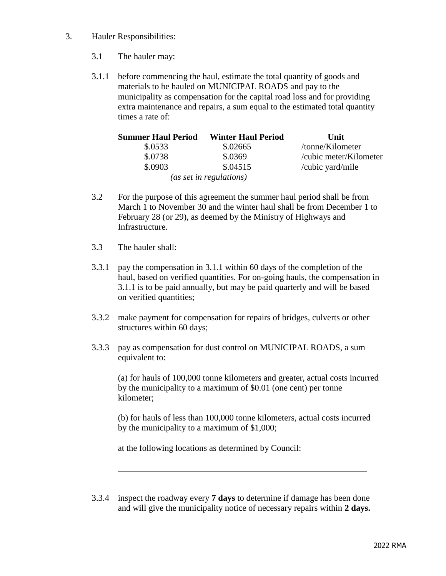- 3. Hauler Responsibilities:
	- 3.1 The hauler may:
	- 3.1.1 before commencing the haul, estimate the total quantity of goods and materials to be hauled on MUNICIPAL ROADS and pay to the municipality as compensation for the capital road loss and for providing extra maintenance and repairs, a sum equal to the estimated total quantity times a rate of:

| <b>Summer Haul Period</b> | <b>Winter Haul Period</b> | Unit                   |
|---------------------------|---------------------------|------------------------|
| \$.0533                   | \$.02665                  | /tonne/Kilometer       |
| \$.0738                   | \$.0369                   | /cubic meter/Kilometer |
| \$.0903                   | \$.04515                  | /cubic yard/mile       |
|                           | (as set in regulations)   |                        |

- 3.2 For the purpose of this agreement the summer haul period shall be from March 1 to November 30 and the winter haul shall be from December 1 to February 28 (or 29), as deemed by the Ministry of Highways and Infrastructure.
- 3.3 The hauler shall:
- 3.3.1 pay the compensation in 3.1.1 within 60 days of the completion of the haul, based on verified quantities. For on-going hauls, the compensation in 3.1.1 is to be paid annually, but may be paid quarterly and will be based on verified quantities;
- 3.3.2 make payment for compensation for repairs of bridges, culverts or other structures within 60 days;
- 3.3.3 pay as compensation for dust control on MUNICIPAL ROADS, a sum equivalent to:

(a) for hauls of 100,000 tonne kilometers and greater, actual costs incurred by the municipality to a maximum of \$0.01 (one cent) per tonne kilometer;

(b) for hauls of less than 100,000 tonne kilometers, actual costs incurred by the municipality to a maximum of \$1,000;

\_\_\_\_\_\_\_\_\_\_\_\_\_\_\_\_\_\_\_\_\_\_\_\_\_\_\_\_\_\_\_\_\_\_\_\_\_\_\_\_\_\_\_\_\_\_\_\_\_\_\_\_\_\_\_\_\_

at the following locations as determined by Council:

3.3.4 inspect the roadway every **7 days** to determine if damage has been done and will give the municipality notice of necessary repairs within **2 days.**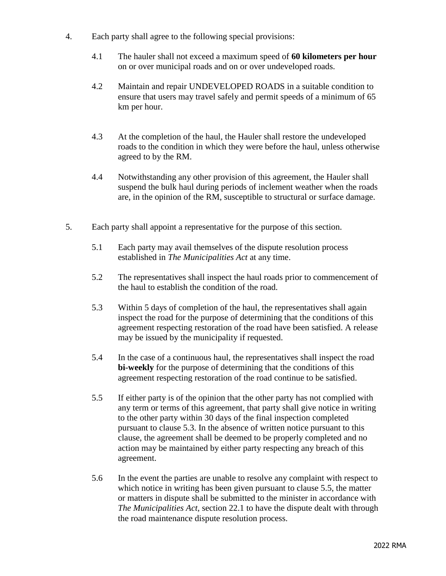- 4. Each party shall agree to the following special provisions:
	- 4.1 The hauler shall not exceed a maximum speed of **60 kilometers per hour** on or over municipal roads and on or over undeveloped roads.
	- 4.2 Maintain and repair UNDEVELOPED ROADS in a suitable condition to ensure that users may travel safely and permit speeds of a minimum of 65 km per hour.
	- 4.3 At the completion of the haul, the Hauler shall restore the undeveloped roads to the condition in which they were before the haul, unless otherwise agreed to by the RM.
	- 4.4 Notwithstanding any other provision of this agreement, the Hauler shall suspend the bulk haul during periods of inclement weather when the roads are, in the opinion of the RM, susceptible to structural or surface damage.
- 5. Each party shall appoint a representative for the purpose of this section.
	- 5.1 Each party may avail themselves of the dispute resolution process established in *The Municipalities Act* at any time.
	- 5.2 The representatives shall inspect the haul roads prior to commencement of the haul to establish the condition of the road.
	- 5.3 Within 5 days of completion of the haul, the representatives shall again inspect the road for the purpose of determining that the conditions of this agreement respecting restoration of the road have been satisfied. A release may be issued by the municipality if requested.
	- 5.4 In the case of a continuous haul, the representatives shall inspect the road **bi-weekly** for the purpose of determining that the conditions of this agreement respecting restoration of the road continue to be satisfied.
	- 5.5 If either party is of the opinion that the other party has not complied with any term or terms of this agreement, that party shall give notice in writing to the other party within 30 days of the final inspection completed pursuant to clause 5.3. In the absence of written notice pursuant to this clause, the agreement shall be deemed to be properly completed and no action may be maintained by either party respecting any breach of this agreement.
	- 5.6 In the event the parties are unable to resolve any complaint with respect to which notice in writing has been given pursuant to clause 5.5, the matter or matters in dispute shall be submitted to the minister in accordance with *The Municipalities Act,* section 22.1 to have the dispute dealt with through the road maintenance dispute resolution process.